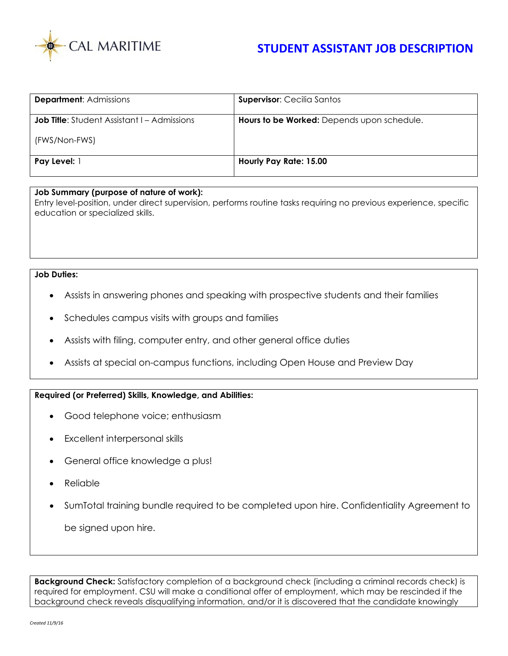

| <b>Department: Admissions</b>                      | <b>Supervisor: Cecilia Santos</b>          |
|----------------------------------------------------|--------------------------------------------|
| <b>Job Title:</b> Student Assistant I – Admissions | Hours to be Worked: Depends upon schedule. |
| (FWS/Non-FWS)                                      |                                            |
| <b>Pay Level:</b> 1                                | Hourly Pay Rate: 15.00                     |

## **Job Summary (purpose of nature of work):**

Entry level-position, under direct supervision, performs routine tasks requiring no previous experience, specific education or specialized skills.

## **Job Duties:**

- Assists in answering phones and speaking with prospective students and their families
- Schedules campus visits with groups and families
- Assists with filing, computer entry, and other general office duties
- Assists at special on-campus functions, including Open House and Preview Day

## **Required (or Preferred) Skills, Knowledge, and Abilities:**

- Good telephone voice; enthusiasm
- Excellent interpersonal skills
- General office knowledge a plus!
- **Reliable**
- SumTotal training bundle required to be completed upon hire. Confidentiality Agreement to

be signed upon hire.

**Background Check:** Satisfactory completion of a background check (including a criminal records check) is required for employment. CSU will make a conditional offer of employment, which may be rescinded if the background check reveals disqualifying information, and/or it is discovered that the candidate knowingly